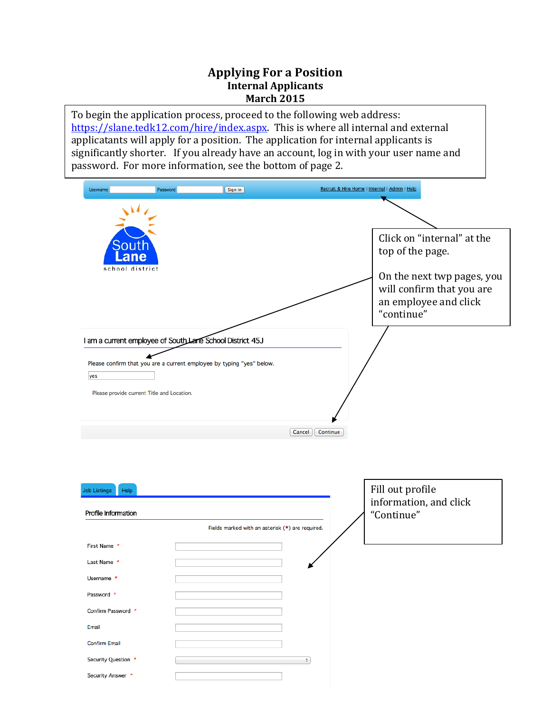## **Applying For a Position Internal Applicants March 2015**

To begin the application process, proceed to the following web address: https://slane.tedk12.com/hire/index.aspx. This is where all internal and external applicatants will apply for a position. The application for internal applicants is significantly shorter. If you already have an account, log in with your user name and password. For more information, see the bottom of page 2.



| Profile Information  |                                                  | mormation, and cher<br>"Continue" |
|----------------------|--------------------------------------------------|-----------------------------------|
|                      | Fields marked with an asterisk (*) are required. |                                   |
| First Name *         |                                                  |                                   |
| Last Name *          |                                                  |                                   |
| Username *           |                                                  |                                   |
| Password *           |                                                  |                                   |
| Confirm Password *   |                                                  |                                   |
| Email                |                                                  |                                   |
| <b>Confirm Email</b> |                                                  |                                   |
| Security Question *  | ÷                                                |                                   |
| Security Answer *    |                                                  |                                   |